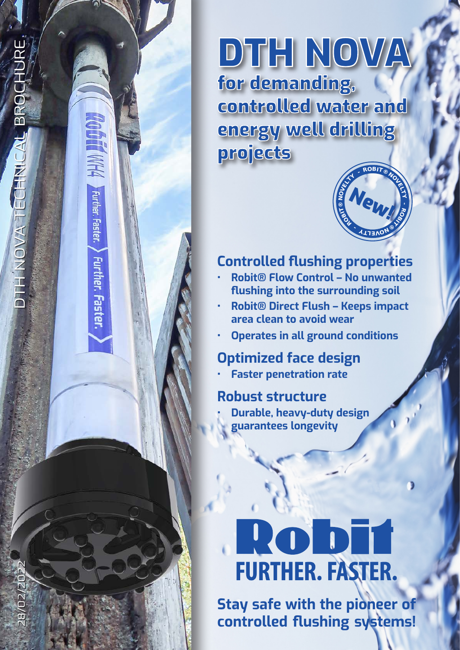

controlled water and energy well drilling projects



## **Controlled flushing properties**

- **• Robit® Flow Control No unwanted flushing into the surrounding soil**
- **• Robit® Direct Flush – Keeps impact area clean to avoid wear**
- **• Operates in all ground conditions**

## **Optimized face design**

**• Faster penetration rate**

## **Robust structure**

28/02/2022 DTH NOVA TECHNICAL BROCHURE

**THNOVAT** 

ECHNUAL BROCH

**Further. Faster.** 

Further. Faster

**• Durable, heavy-duty design guarantees longevity**

# RODI FURTHER. FASTER.

**Stay safe with the pioneer of controlled flushing systems!**